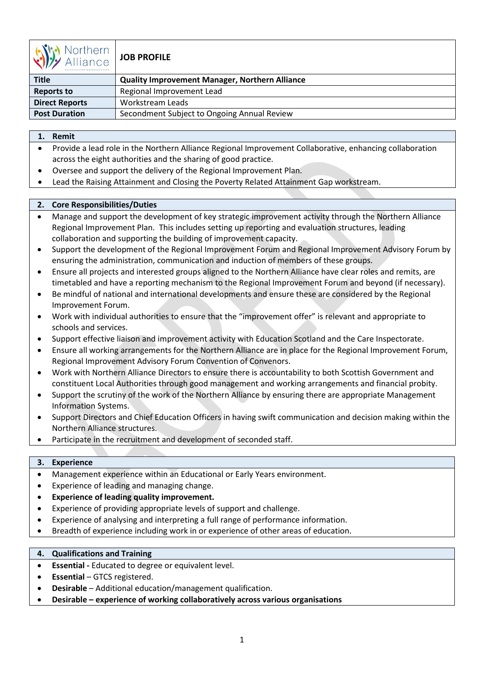

# **JOB PROFILE**

| $\sqrt{V}$<br>1111 U.I.IV |                                                       |
|---------------------------|-------------------------------------------------------|
| <b>Title</b>              | <b>Quality Improvement Manager, Northern Alliance</b> |
| <b>Reports to</b>         | Regional Improvement Lead                             |
| <b>Direct Reports</b>     | Workstream Leads                                      |
| <b>Post Duration</b>      | Secondment Subject to Ongoing Annual Review           |

## **1. Remit**

- Provide a lead role in the Northern Alliance Regional Improvement Collaborative, enhancing collaboration across the eight authorities and the sharing of good practice.
- Oversee and support the delivery of the Regional Improvement Plan.
- Lead the Raising Attainment and Closing the Poverty Related Attainment Gap workstream.

## **2. Core Responsibilities/Duties**

- Manage and support the development of key strategic improvement activity through the Northern Alliance Regional Improvement Plan. This includes setting up reporting and evaluation structures, leading collaboration and supporting the building of improvement capacity.
- Support the development of the Regional Improvement Forum and Regional Improvement Advisory Forum by ensuring the administration, communication and induction of members of these groups.
- Ensure all projects and interested groups aligned to the Northern Alliance have clear roles and remits, are timetabled and have a reporting mechanism to the Regional Improvement Forum and beyond (if necessary).
- Be mindful of national and international developments and ensure these are considered by the Regional Improvement Forum.
- Work with individual authorities to ensure that the "improvement offer" is relevant and appropriate to schools and services.
- Support effective liaison and improvement activity with Education Scotland and the Care Inspectorate.
- Ensure all working arrangements for the Northern Alliance are in place for the Regional Improvement Forum, Regional Improvement Advisory Forum Convention of Convenors.
- Work with Northern Alliance Directors to ensure there is accountability to both Scottish Government and constituent Local Authorities through good management and working arrangements and financial probity.
- Support the scrutiny of the work of the Northern Alliance by ensuring there are appropriate Management Information Systems.
- Support Directors and Chief Education Officers in having swift communication and decision making within the Northern Alliance structures.
- Participate in the recruitment and development of seconded staff.

## **3. Experience**

- Management experience within an Educational or Early Years environment.
- Experience of leading and managing change.
- **Experience of leading quality improvement.**
- Experience of providing appropriate levels of support and challenge.
- Experience of analysing and interpreting a full range of performance information.
- Breadth of experience including work in or experience of other areas of education.

## **4. Qualifications and Training**

- **Essential** Educated to degree or equivalent level.
- **Essential** GTCS registered.
- **Desirable** Additional education/management qualification.
- **Desirable experience of working collaboratively across various organisations**